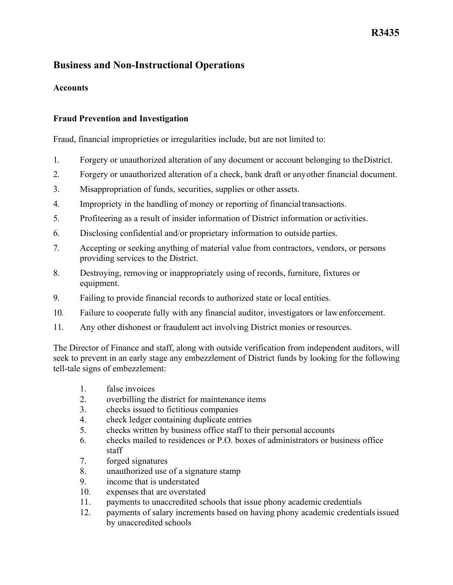## **R3435**

## **Business and Non-Instructional Operations**

### **Accounts**

#### **Fraud Prevention and Investigation**

Fraud, financial improprieties or irregularities include, but are not limited to:

- 1. Forgery or unauthorized alteration of any document or account belonging to theDistrict.
- 2. Forgery or unauthorized alteration of a check, bank draft or anyother financial document.
- 3. Misappropriation of funds, securities, supplies or other assets.
- 4. Impropriety in the handling of money or reporting of financialtransactions.
- 5. Profiteering as a result of insider information of District information or activities.
- 6. Disclosing confidential and/or proprietary information to outside parties.
- 7. Accepting or seeking anything of material value from contractors, vendors, or persons providing services to the District.
- 8. Destroying, removing or inappropriately using of records, furniture, fixtures or equipment.
- 9. Failing to provide financial records to authorized state or local entities.
- 10. Failure to cooperate fully with any financial auditor, investigators or lawenforcement.
- 11. Any other dishonest or fraudulent act involving District monies or resources.

 The Director of Finance and staff, along with outside verification from independent auditors, will seek to prevent in an early stage any embezzlement of District funds by looking for the following tell-tale signs of embezzlement:

- 1. false invoices
- 2. overbilling the district for maintenance items
- 3. checks issued to fictitious companies
- 4. check ledger containing duplicate entries
- 5. checks written by business office staff to their personal accounts
- 6. checks mailed to residences or P.O. boxes of administrators or business office staff
- 7. forged signatures
- 8. unauthorized use of a signature stamp
- 9. income that is understated
- 10. expenses that are overstated
- 11. payments to unaccredited schools that issue phony academic credentials
- by unaccredited schools 12. payments of salary increments based on having phony academic credentials issued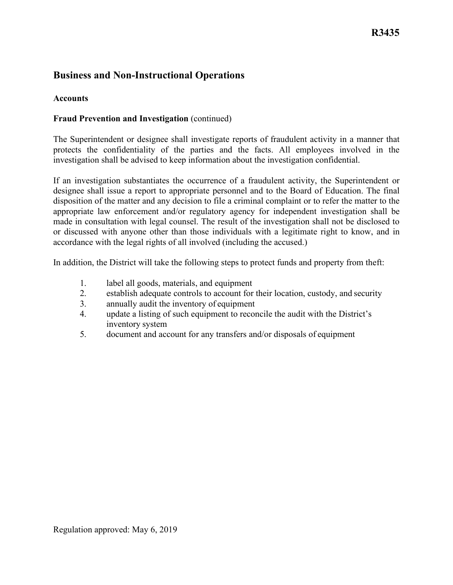# **Business and Non-Instructional Operations**

### **Accounts**

### **Fraud Prevention and Investigation** (continued)

The Superintendent or designee shall investigate reports of fraudulent activity in a manner that protects the confidentiality of the parties and the facts. All employees involved in the investigation shall be advised to keep information about the investigation confidential.

 designee shall issue a report to appropriate personnel and to the Board of Education. The final If an investigation substantiates the occurrence of a fraudulent activity, the Superintendent or disposition of the matter and any decision to file a criminal complaint or to refer the matter to the appropriate law enforcement and/or regulatory agency for independent investigation shall be made in consultation with legal counsel. The result of the investigation shall not be disclosed to or discussed with anyone other than those individuals with a legitimate right to know, and in accordance with the legal rights of all involved (including the accused.)

In addition, the District will take the following steps to protect funds and property from theft:

- 1. label all goods, materials, and equipment
- 2. establish adequate controls to account for their location, custody, and security
- 3. annually audit the inventory of equipment
- inventory system 4. update a listing of such equipment to reconcile the audit with the District's
- 5. document and account for any transfers and/or disposals of equipment